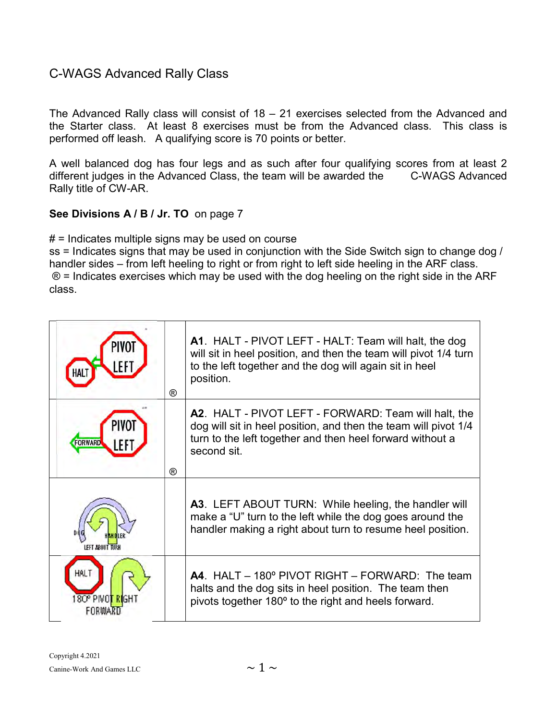## C-WAGS Advanced Rally Class

The Advanced Rally class will consist of 18 – 21 exercises selected from the Advanced and the Starter class. At least 8 exercises must be from the Advanced class. This class is performed off leash. A qualifying score is 70 points or better.

A well balanced dog has four legs and as such after four qualifying scores from at least 2 different judges in the Advanced Class, the team will be awarded the C-WAGS Advanced Rally title of CW-AR.

## See Divisions A / B / Jr. TO on page 7

 $#$  = Indicates multiple signs may be used on course

ss = Indicates signs that may be used in conjunction with the Side Switch sign to change dog / handler sides – from left heeling to right or from right to left side heeling in the ARF class. ® = Indicates exercises which may be used with the dog heeling on the right side in the ARF class.

|                         | ® | A1. HALT - PIVOT LEFT - HALT: Team will halt, the dog<br>will sit in heel position, and then the team will pivot 1/4 turn<br>to the left together and the dog will again sit in heel<br>position.   |
|-------------------------|---|-----------------------------------------------------------------------------------------------------------------------------------------------------------------------------------------------------|
|                         | ® | A2. HALT - PIVOT LEFT - FORWARD: Team will halt, the<br>dog will sit in heel position, and then the team will pivot 1/4<br>turn to the left together and then heel forward without a<br>second sit. |
|                         |   | A3. LEFT ABOUT TURN: While heeling, the handler will<br>make a "U" turn to the left while the dog goes around the<br>handler making a right about turn to resume heel position.                     |
| HAI 1<br>80º PIVOT RIGH |   | A4. HALT – 180° PIVOT RIGHT – FORWARD: The team<br>halts and the dog sits in heel position. The team then<br>pivots together 180° to the right and heels forward.                                   |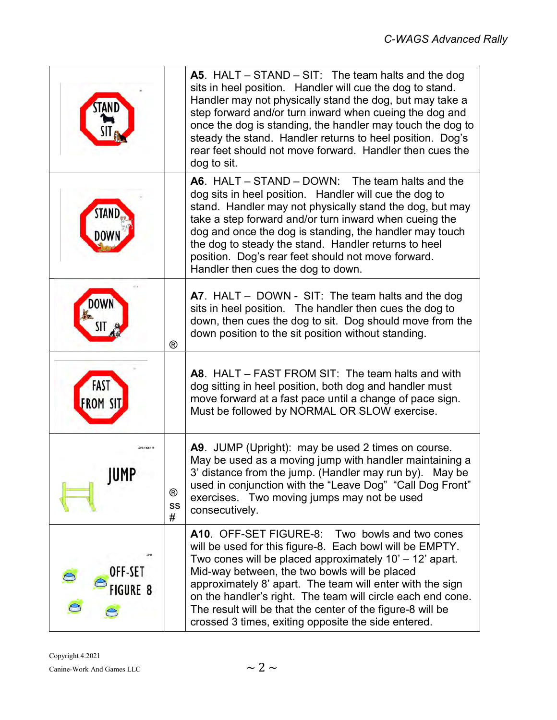|                            |                           | <b>A5</b> . HALT – STAND – SIT: The team halts and the dog<br>sits in heel position. Handler will cue the dog to stand.<br>Handler may not physically stand the dog, but may take a<br>step forward and/or turn inward when cueing the dog and<br>once the dog is standing, the handler may touch the dog to<br>steady the stand. Handler returns to heel position. Dog's<br>rear feet should not move forward. Handler then cues the<br>dog to sit.                    |
|----------------------------|---------------------------|-------------------------------------------------------------------------------------------------------------------------------------------------------------------------------------------------------------------------------------------------------------------------------------------------------------------------------------------------------------------------------------------------------------------------------------------------------------------------|
|                            |                           | A6. HALT $-$ STAND $-$ DOWN: The team halts and the<br>dog sits in heel position. Handler will cue the dog to<br>stand. Handler may not physically stand the dog, but may<br>take a step forward and/or turn inward when cueing the<br>dog and once the dog is standing, the handler may touch<br>the dog to steady the stand. Handler returns to heel<br>position. Dog's rear feet should not move forward.<br>Handler then cues the dog to down.                      |
|                            | $^{\circledR}$            | A7. HALT - DOWN - SIT: The team halts and the dog<br>sits in heel position. The handler then cues the dog to<br>down, then cues the dog to sit. Dog should move from the<br>down position to the sit position without standing.                                                                                                                                                                                                                                         |
| FAST<br><b>FROM SIT</b>    |                           | A8. HALT – FAST FROM SIT: The team halts and with<br>dog sitting in heel position, both dog and handler must<br>move forward at a fast pace until a change of pace sign.<br>Must be followed by NORMAL OR SLOW exercise.                                                                                                                                                                                                                                                |
| Grands and<br>JUMP         | $^{\circledR}$<br>SS<br># | A9. JUMP (Upright): may be used 2 times on course.<br>May be used as a moving jump with handler maintaining a<br>3' distance from the jump. (Handler may run by). May be<br>used in conjunction with the "Leave Dog" "Call Dog Front"<br>exercises. Two moving jumps may not be used<br>consecutively.                                                                                                                                                                  |
| OFF-SET<br><b>FIGURE 8</b> |                           | A10. OFF-SET FIGURE-8: Two bowls and two cones<br>will be used for this figure-8. Each bowl will be EMPTY.<br>Two cones will be placed approximately 10' - 12' apart.<br>Mid-way between, the two bowls will be placed<br>approximately 8' apart. The team will enter with the sign<br>on the handler's right. The team will circle each end cone.<br>The result will be that the center of the figure-8 will be<br>crossed 3 times, exiting opposite the side entered. |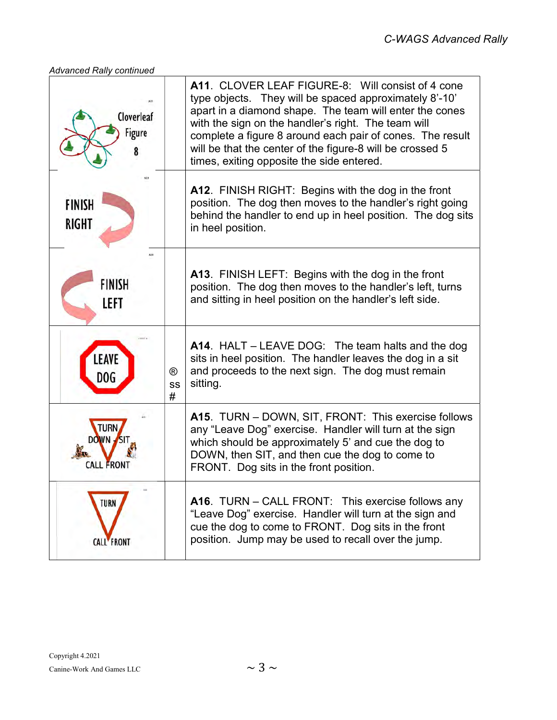## Advanced Rally continued

| Cloverleaf<br>Figure             |                           | <b>A11. CLOVER LEAF FIGURE-8: Will consist of 4 cone</b><br>type objects. They will be spaced approximately 8'-10'<br>apart in a diamond shape. The team will enter the cones<br>with the sign on the handler's right. The team will<br>complete a figure 8 around each pair of cones. The result<br>will be that the center of the figure-8 will be crossed 5<br>times, exiting opposite the side entered. |
|----------------------------------|---------------------------|-------------------------------------------------------------------------------------------------------------------------------------------------------------------------------------------------------------------------------------------------------------------------------------------------------------------------------------------------------------------------------------------------------------|
| <b>FINISH</b><br><b>RIGHT</b>    |                           | A12. FINISH RIGHT: Begins with the dog in the front<br>position. The dog then moves to the handler's right going<br>behind the handler to end up in heel position. The dog sits<br>in heel position.                                                                                                                                                                                                        |
| <b>FINISH</b><br>LEFT            |                           | A13. FINISH LEFT: Begins with the dog in the front<br>position. The dog then moves to the handler's left, turns<br>and sitting in heel position on the handler's left side.                                                                                                                                                                                                                                 |
| LEAVE<br>DOG                     | $^{\circledR}$<br>SS<br># | A14. HALT - LEAVE DOG: The team halts and the dog<br>sits in heel position. The handler leaves the dog in a sit<br>and proceeds to the next sign. The dog must remain<br>sitting.                                                                                                                                                                                                                           |
| DOWN<br>CALL FRONT               |                           | A15. TURN - DOWN, SIT, FRONT: This exercise follows<br>any "Leave Dog" exercise. Handler will turn at the sign<br>which should be approximately 5' and cue the dog to<br>DOWN, then SIT, and then cue the dog to come to<br>FRONT. Dog sits in the front position.                                                                                                                                          |
| <b>TURN</b><br><b>CALL FRONT</b> |                           | A16. TURN - CALL FRONT: This exercise follows any<br>"Leave Dog" exercise. Handler will turn at the sign and<br>cue the dog to come to FRONT. Dog sits in the front<br>position. Jump may be used to recall over the jump.                                                                                                                                                                                  |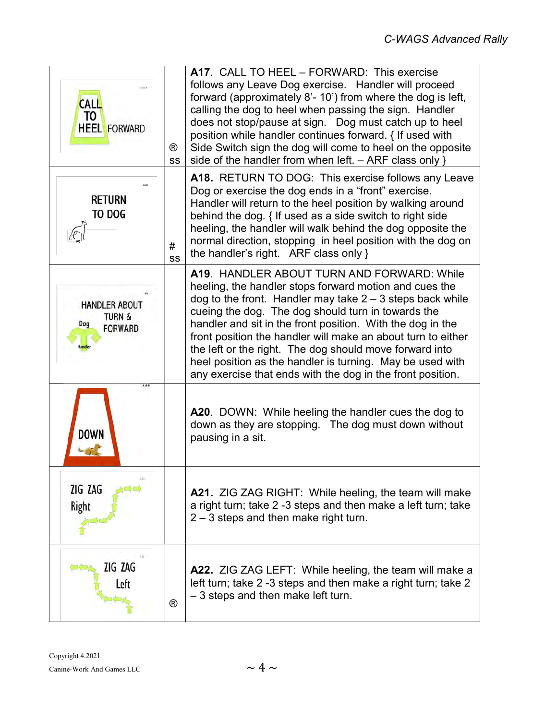| <b>CALL</b><br>TO<br><b>HEEL FORWARD</b>                           | ®<br><b>SS</b> | A17. CALL TO HEEL - FORWARD: This exercise<br>follows any Leave Dog exercise. Handler will proceed<br>forward (approximately 8'- 10') from where the dog is left,<br>calling the dog to heel when passing the sign. Handler<br>does not stop/pause at sign. Dog must catch up to heel<br>position while handler continues forward. { If used with<br>Side Switch sign the dog will come to heel on the opposite<br>side of the handler from when left. - ARF class only }                                                                     |
|--------------------------------------------------------------------|----------------|-----------------------------------------------------------------------------------------------------------------------------------------------------------------------------------------------------------------------------------------------------------------------------------------------------------------------------------------------------------------------------------------------------------------------------------------------------------------------------------------------------------------------------------------------|
| Return<br>to dog                                                   | $\#$<br>SS     | A18. RETURN TO DOG: This exercise follows any Leave<br>Dog or exercise the dog ends in a "front" exercise.<br>Handler will return to the heel position by walking around<br>behind the dog. { If used as a side switch to right side<br>heeling, the handler will walk behind the dog opposite the<br>normal direction, stopping in heel position with the dog on<br>the handler's right. ARF class only }                                                                                                                                    |
| <b>HANDLER ABOUT</b><br><b>TURN &amp;</b><br>Dog<br><b>FORWARD</b> |                | A19. HANDLER ABOUT TURN AND FORWARD: While<br>heeling, the handler stops forward motion and cues the<br>dog to the front. Handler may take $2 - 3$ steps back while<br>cueing the dog. The dog should turn in towards the<br>handler and sit in the front position. With the dog in the<br>front position the handler will make an about turn to either<br>the left or the right. The dog should move forward into<br>heel position as the handler is turning. May be used with<br>any exercise that ends with the dog in the front position. |
|                                                                    |                | A20. DOWN: While heeling the handler cues the dog to<br>down as they are stopping. The dog must down without<br>pausing in a sit.                                                                                                                                                                                                                                                                                                                                                                                                             |
| ZIG ZAG<br>Right                                                   |                | <b>A21.</b> ZIG ZAG RIGHT: While heeling, the team will make<br>a right turn; take 2 -3 steps and then make a left turn; take<br>$2 - 3$ steps and then make right turn.                                                                                                                                                                                                                                                                                                                                                                      |
| ZIG ZAG<br>Left                                                    | ®              | A22. ZIG ZAG LEFT: While heeling, the team will make a<br>left turn; take 2-3 steps and then make a right turn; take 2<br>- 3 steps and then make left turn.                                                                                                                                                                                                                                                                                                                                                                                  |